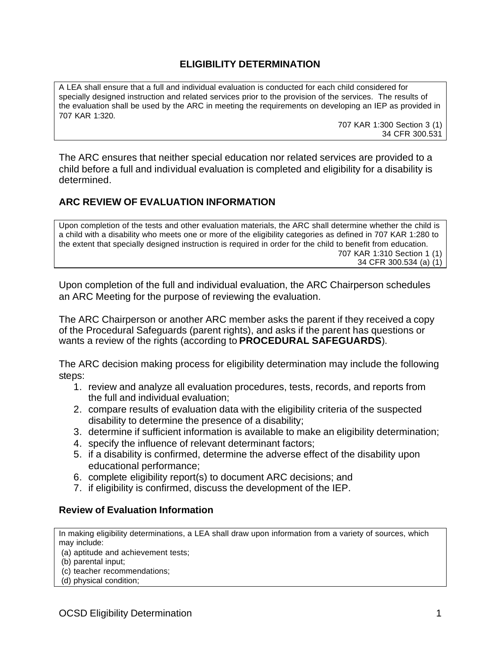# **ELIGIBILITY DETERMINATION**

A LEA shall ensure that a full and individual evaluation is conducted for each child considered for specially designed instruction and related services prior to the provision of the services. The results of the evaluation shall be used by the ARC in meeting the requirements on developing an IEP as provided in 707 KAR 1:320.

707 KAR 1:300 Section 3 (1) 34 CFR 300.531

The ARC ensures that neither special education nor related services are provided to a child before a full and individual evaluation is completed and eligibility for a disability is determined.

# **ARC REVIEW OF EVALUATION INFORMATION**

Upon completion of the tests and other evaluation materials, the ARC shall determine whether the child is a child with a disability who meets one or more of the eligibility categories as defined in 707 KAR 1:280 to the extent that specially designed instruction is required in order for the child to benefit from education. 707 KAR 1:310 Section 1 (1) 34 CFR 300.534 (a) (1)

Upon completion of the full and individual evaluation, the ARC Chairperson schedules an ARC Meeting for the purpose of reviewing the evaluation.

The ARC Chairperson or another ARC member asks the parent if they received a copy of the Procedural Safeguards (parent rights), and asks if the parent has questions or wants a review of the rights (according to **PROCEDURAL SAFEGUARDS**).

The ARC decision making process for eligibility determination may include the following steps:

- 1. review and analyze all evaluation procedures, tests, records, and reports from the full and individual evaluation;
- 2. compare results of evaluation data with the eligibility criteria of the suspected disability to determine the presence of a disability;
- 3. determine if sufficient information is available to make an eligibility determination;
- 4. specify the influence of relevant determinant factors;
- 5. if a disability is confirmed, determine the adverse effect of the disability upon educational performance;
- 6. complete eligibility report(s) to document ARC decisions; and
- 7. if eligibility is confirmed, discuss the development of the IEP.

### **Review of Evaluation Information**

In making eligibility determinations, a LEA shall draw upon information from a variety of sources, which may include:

- (a) aptitude and achievement tests;
- (b) parental input;
- (c) teacher recommendations;
- (d) physical condition;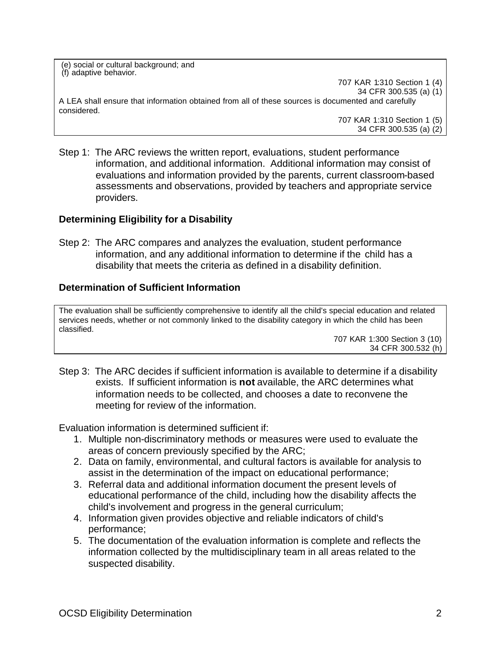(e) social or cultural background; and (f) adaptive behavior.

707 KAR 1:310 Section 1 (4) 34 CFR 300.535 (a) (1) A LEA shall ensure that information obtained from all of these sources is documented and carefully considered.

707 KAR 1:310 Section 1 (5) 34 CFR 300.535 (a) (2)

Step 1: The ARC reviews the written report, evaluations, student performance information, and additional information. Additional information may consist of evaluations and information provided by the parents, current classroom-based assessments and observations, provided by teachers and appropriate service providers.

## **Determining Eligibility for a Disability**

Step 2: The ARC compares and analyzes the evaluation, student performance information, and any additional information to determine if the child has a disability that meets the criteria as defined in a disability definition.

## **Determination of Sufficient Information**

The evaluation shall be sufficiently comprehensive to identify all the child's special education and related services needs, whether or not commonly linked to the disability category in which the child has been classified.

707 KAR 1:300 Section 3 (10) 34 CFR 300.532 (h)

Step 3: The ARC decides if sufficient information is available to determine if a disability exists. If sufficient information is **not** available, the ARC determines what information needs to be collected, and chooses a date to reconvene the meeting for review of the information.

Evaluation information is determined sufficient if:

- 1. Multiple non-discriminatory methods or measures were used to evaluate the areas of concern previously specified by the ARC;
- 2. Data on family, environmental, and cultural factors is available for analysis to assist in the determination of the impact on educational performance;
- 3. Referral data and additional information document the present levels of educational performance of the child, including how the disability affects the child's involvement and progress in the general curriculum;
- 4. Information given provides objective and reliable indicators of child's performance;
- 5. The documentation of the evaluation information is complete and reflects the information collected by the multidisciplinary team in all areas related to the suspected disability.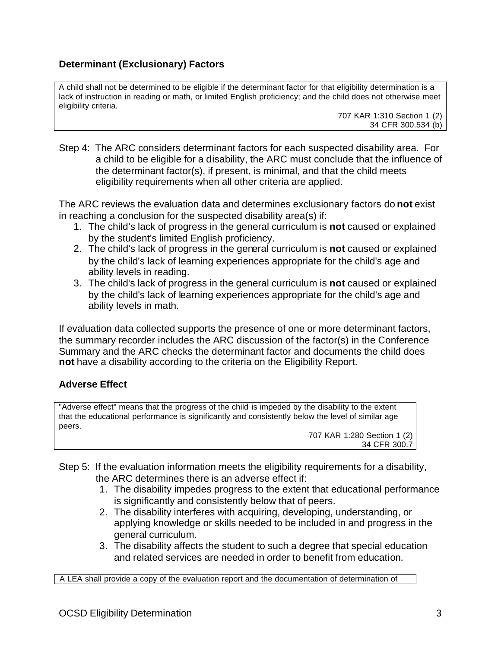# **Determinant (Exclusionary) Factors**

A child shall not be determined to be eligible if the determinant factor for that eligibility determination is a lack of instruction in reading or math, or limited English proficiency; and the child does not otherwise meet eligibility criteria.

707 KAR 1:310 Section 1 (2) 34 CFR 300.534 (b)

Step 4: The ARC considers determinant factors for each suspected disability area. For a child to be eligible for a disability, the ARC must conclude that the influence of the determinant factor(s), if present, is minimal, and that the child meets eligibility requirements when all other criteria are applied.

The ARC reviews the evaluation data and determines exclusionary factors do **not** exist in reaching a conclusion for the suspected disability area(s) if:

- 1. The child's lack of progress in the general curriculum is **not** caused or explained by the student's limited English proficiency.
- 2. The child's lack of progress in the general curriculum is **not** caused or explained by the child's lack of learning experiences appropriate for the child's age and ability levels in reading.
- 3. The child's lack of progress in the general curriculum is **not** caused or explained by the child's lack of learning experiences appropriate for the child's age and ability levels in math.

If evaluation data collected supports the presence of one or more determinant factors, the summary recorder includes the ARC discussion of the factor(s) in the Conference Summary and the ARC checks the determinant factor and documents the child does **not** have a disability according to the criteria on the Eligibility Report.

## **Adverse Effect**

"Adverse effect" means that the progress of the child is impeded by the disability to the extent that the educational performance is significantly and consistently below the level of similar age peers.

707 KAR 1:280 Section 1 (2) 34 CFR 300.7

- Step 5: If the evaluation information meets the eligibility requirements for a disability, the ARC determines there is an adverse effect if:
	- 1. The disability impedes progress to the extent that educational performance is significantly and consistently below that of peers.
	- 2. The disability interferes with acquiring, developing, understanding, or applying knowledge or skills needed to be included in and progress in the general curriculum.
	- 3. The disability affects the student to such a degree that special education and related services are needed in order to benefit from education.

A LEA shall provide a copy of the evaluation report and the documentation of determination of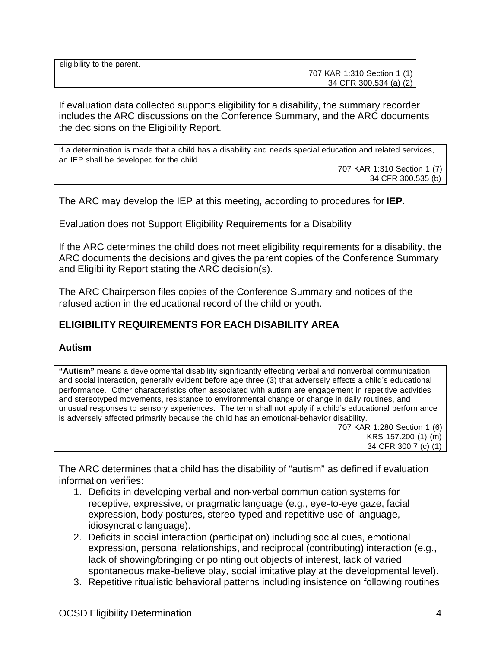707 KAR 1:310 Section 1 (1) 34 CFR 300.534 (a) (2)

If evaluation data collected supports eligibility for a disability, the summary recorder includes the ARC discussions on the Conference Summary, and the ARC documents the decisions on the Eligibility Report.

If a determination is made that a child has a disability and needs special education and related services, an IEP shall be developed for the child.

707 KAR 1:310 Section 1 (7) 34 CFR 300.535 (b)

The ARC may develop the IEP at this meeting, according to procedures for **IEP**.

#### Evaluation does not Support Eligibility Requirements for a Disability

If the ARC determines the child does not meet eligibility requirements for a disability, the ARC documents the decisions and gives the parent copies of the Conference Summary and Eligibility Report stating the ARC decision(s).

The ARC Chairperson files copies of the Conference Summary and notices of the refused action in the educational record of the child or youth.

## **ELIGIBILITY REQUIREMENTS FOR EACH DISABILITY AREA**

#### **Autism**

**"Autism"** means a developmental disability significantly effecting verbal and nonverbal communication and social interaction, generally evident before age three (3) that adversely effects a child's educational performance. Other characteristics often associated with autism are engagement in repetitive activities and stereotyped movements, resistance to environmental change or change in daily routines, and unusual responses to sensory experiences. The term shall not apply if a child's educational performance is adversely affected primarily because the child has an emotional-behavior disability.

707 KAR 1:280 Section 1 (6) KRS 157.200 (1) (m) 34 CFR 300.7 (c) (1)

The ARC determines that a child has the disability of "autism" as defined if evaluation information verifies:

- 1. Deficits in developing verbal and non-verbal communication systems for receptive, expressive, or pragmatic language (e.g., eye-to-eye gaze, facial expression, body postures, stereo-typed and repetitive use of language, idiosyncratic language).
- 2. Deficits in social interaction (participation) including social cues, emotional expression, personal relationships, and reciprocal (contributing) interaction (e.g., lack of showing/bringing or pointing out objects of interest, lack of varied spontaneous make-believe play, social imitative play at the developmental level).
- 3. Repetitive ritualistic behavioral patterns including insistence on following routines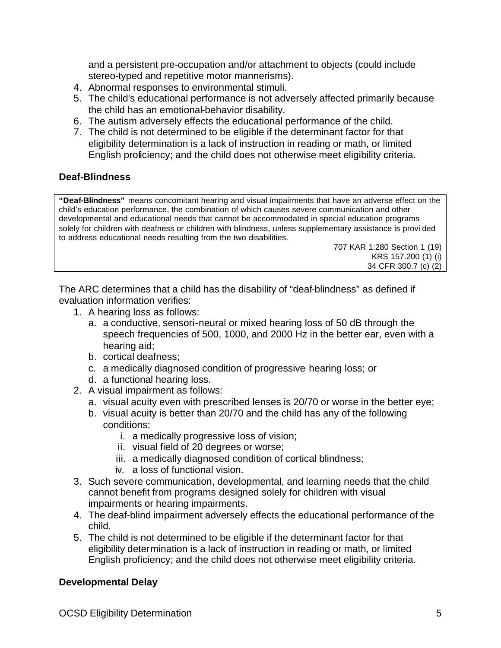and a persistent pre-occupation and/or attachment to objects (could include stereo-typed and repetitive motor mannerisms).

- 4. Abnormal responses to environmental stimuli.
- 5. The child's educational performance is not adversely affected primarily because the child has an emotional-behavior disability.
- 6. The autism adversely effects the educational performance of the child.
- 7. The child is not determined to be eligible if the determinant factor for that eligibility determination is a lack of instruction in reading or math, or limited English proficiency; and the child does not otherwise meet eligibility criteria.

### **Deaf-Blindness**

**"Deaf-Blindness"** means concomitant hearing and visual impairments that have an adverse effect on the child's education performance, the combination of which causes severe communication and other developmental and educational needs that cannot be accommodated in special education programs solely for children with deafness or children with blindness, unless supplementary assistance is provi ded to address educational needs resulting from the two disabilities.

> 707 KAR 1:280 Section 1 (19) KRS 157.200 (1) (i) 34 CFR 300.7 (c) (2)

The ARC determines that a child has the disability of "deaf-blindness" as defined if evaluation information verifies:

- 1. A hearing loss as follows:
	- a. a conductive, sensori-neural or mixed hearing loss of 50 dB through the speech frequencies of 500, 1000, and 2000 Hz in the better ear, even with a hearing aid;
	- b. cortical deafness;
	- c. a medically diagnosed condition of progressive hearing loss; or
	- d. a functional hearing loss.
- 2. A visual impairment as follows:
	- a. visual acuity even with prescribed lenses is 20/70 or worse in the better eye;
	- b. visual acuity is better than 20/70 and the child has any of the following conditions:
		- i. a medically progressive loss of vision;
		- ii. visual field of 20 degrees or worse;
		- iii. a medically diagnosed condition of cortical blindness;
		- iv. a loss of functional vision.
- 3. Such severe communication, developmental, and learning needs that the child cannot benefit from programs designed solely for children with visual impairments or hearing impairments.
- 4. The deaf-blind impairment adversely effects the educational performance of the child.
- 5. The child is not determined to be eligible if the determinant factor for that eligibility determination is a lack of instruction in reading or math, or limited English proficiency; and the child does not otherwise meet eligibility criteria.

### **Developmental Delay**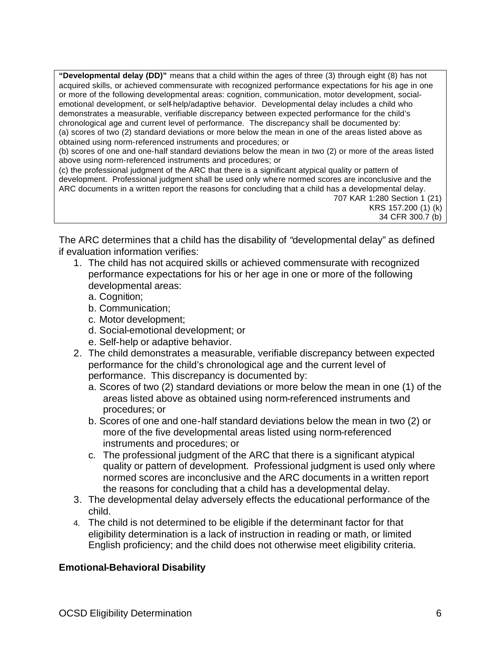**"Developmental delay (DD)"** means that a child within the ages of three (3) through eight (8) has not acquired skills, or achieved commensurate with recognized performance expectations for his age in one or more of the following developmental areas: cognition, communication, motor development, socialemotional development, or self-help/adaptive behavior. Developmental delay includes a child who demonstrates a measurable, verifiable discrepancy between expected performance for the child's chronological age and current level of performance. The discrepancy shall be documented by: (a) scores of two (2) standard deviations or more below the mean in one of the areas listed above as obtained using norm-referenced instruments and procedures; or

(b) scores of one and one-half standard deviations below the mean in two (2) or more of the areas listed above using norm-referenced instruments and procedures; or

(c) the professional judgment of the ARC that there is a significant atypical quality or pattern of development. Professional judgment shall be used only where normed scores are inconclusive and the ARC documents in a written report the reasons for concluding that a child has a developmental delay.

707 KAR 1:280 Section 1 (21) KRS 157.200 (1) (k) 34 CFR 300.7 (b)

The ARC determines that a child has the disability of *"*developmental delay" as defined if evaluation information verifies:

- 1. The child has not acquired skills or achieved commensurate with recognized performance expectations for his or her age in one or more of the following developmental areas:
	- a. Cognition;
	- b. Communication;
	- c. Motor development;
	- d. Social-emotional development; or
	- e. Self-help or adaptive behavior.
- 2. The child demonstrates a measurable, verifiable discrepancy between expected performance for the child's chronological age and the current level of performance. This discrepancy is documented by:
	- a. Scores of two (2) standard deviations or more below the mean in one (1) of the areas listed above as obtained using norm-referenced instruments and procedures; or
	- b. Scores of one and one-half standard deviations below the mean in two (2) or more of the five developmental areas listed using norm-referenced instruments and procedures; or
	- c. The professional judgment of the ARC that there is a significant atypical quality or pattern of development. Professional judgment is used only where normed scores are inconclusive and the ARC documents in a written report the reasons for concluding that a child has a developmental delay.
- 3. The developmental delay adversely effects the educational performance of the child.
- 4. The child is not determined to be eligible if the determinant factor for that eligibility determination is a lack of instruction in reading or math, or limited English proficiency; and the child does not otherwise meet eligibility criteria.

## **Emotional-Behavioral Disability**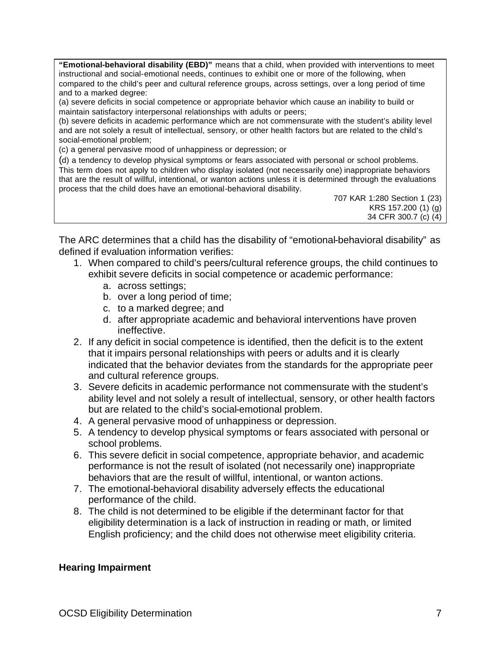**"Emotional-behavioral disability (EBD)"** means that a child, when provided with interventions to meet instructional and social-emotional needs, continues to exhibit one or more of the following, when compared to the child's peer and cultural reference groups, across settings, over a long period of time and to a marked degree:

(a) severe deficits in social competence or appropriate behavior which cause an inability to build or maintain satisfactory interpersonal relationships with adults or peers;

(b) severe deficits in academic performance which are not commensurate with the student's ability level and are not solely a result of intellectual, sensory, or other health factors but are related to the child's social-emotional problem;

(c) a general pervasive mood of unhappiness or depression; or

(d) a tendency to develop physical symptoms or fears associated with personal or school problems. This term does not apply to children who display isolated (not necessarily one) inappropriate behaviors that are the result of willful, intentional, or wanton actions unless it is determined through the evaluations process that the child does have an emotional-behavioral disability.

> 707 KAR 1:280 Section 1 (23) KRS 157.200 (1) (g) 34 CFR 300.7 (c) (4)

The ARC determines that a child has the disability of "emotional-behavioral disability" as defined if evaluation information verifies:

- 1. When compared to child's peers/cultural reference groups, the child continues to exhibit severe deficits in social competence or academic performance:
	- a. across settings;
	- b. over a long period of time;
	- c. to a marked degree; and
	- d. after appropriate academic and behavioral interventions have proven ineffective.
- 2. If any deficit in social competence is identified, then the deficit is to the extent that it impairs personal relationships with peers or adults and it is clearly indicated that the behavior deviates from the standards for the appropriate peer and cultural reference groups.
- 3. Severe deficits in academic performance not commensurate with the student's ability level and not solely a result of intellectual, sensory, or other health factors but are related to the child's social-emotional problem.
- 4. A general pervasive mood of unhappiness or depression.
- 5. A tendency to develop physical symptoms or fears associated with personal or school problems.
- 6. This severe deficit in social competence, appropriate behavior, and academic performance is not the result of isolated (not necessarily one) inappropriate behaviors that are the result of willful, intentional, or wanton actions.
- 7. The emotional-behavioral disability adversely effects the educational performance of the child.
- 8. The child is not determined to be eligible if the determinant factor for that eligibility determination is a lack of instruction in reading or math, or limited English proficiency; and the child does not otherwise meet eligibility criteria.

#### **Hearing Impairment**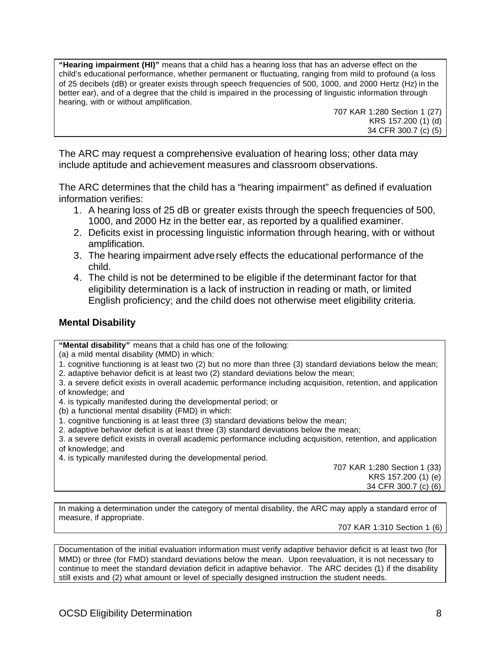**"Hearing impairment (HI)"** means that a child has a hearing loss that has an adverse effect on the child's educational performance, whether permanent or fluctuating, ranging from mild to profound (a loss of 25 decibels (dB) or greater exists through speech frequencies of 500, 1000, and 2000 Hertz (Hz) in the better ear), and of a degree that the child is impaired in the processing of linguistic information through hearing, with or without amplification.

> 707 KAR 1:280 Section 1 (27) KRS 157.200 (1) (d) 34 CFR 300.7 (c) (5)

The ARC may request a comprehensive evaluation of hearing loss; other data may include aptitude and achievement measures and classroom observations.

The ARC determines that the child has a "hearing impairment" as defined if evaluation information verifies:

- 1. A hearing loss of 25 dB or greater exists through the speech frequencies of 500, 1000, and 2000 Hz in the better ear, as reported by a qualified examiner.
- 2. Deficits exist in processing linguistic information through hearing, with or without amplification.
- 3. The hearing impairment adversely effects the educational performance of the child.
- 4. The child is not be determined to be eligible if the determinant factor for that eligibility determination is a lack of instruction in reading or math, or limited English proficiency; and the child does not otherwise meet eligibility criteria.

### **Mental Disability**

**"Mental disability"** means that a child has one of the following:

(a) a mild mental disability (MMD) in which:

- 1. cognitive functioning is at least two (2) but no more than three (3) standard deviations below the mean;
- 2. adaptive behavior deficit is at least two (2) standard deviations below the mean;
- 3. a severe deficit exists in overall academic performance including acquisition, retention, and application of knowledge; and
- 4. is typically manifested during the developmental period; or
- (b) a functional mental disability (FMD) in which:
- 1. cognitive functioning is at least three (3) standard deviations below the mean;
- 2. adaptive behavior deficit is at least three (3) standard deviations below the mean;
- 3. a severe deficit exists in overall academic performance including acquisition, retention, and application of knowledge; and
- 4. is typically manifested during the developmental period.

707 KAR 1:280 Section 1 (33) KRS 157.200 (1) (e) 34 CFR 300.7 (c) (6)

In making a determination under the category of mental disability, the ARC may apply a standard error of measure, if appropriate.

707 KAR 1:310 Section 1 (6)

Documentation of the initial evaluation information must verify adaptive behavior deficit is at least two (for MMD) or three (for FMD) standard deviations below the mean. Upon reevaluation, it is not necessary to continue to meet the standard deviation deficit in adaptive behavior. The ARC decides (1) if the disability still exists and (2) what amount or level of specially designed instruction the student needs.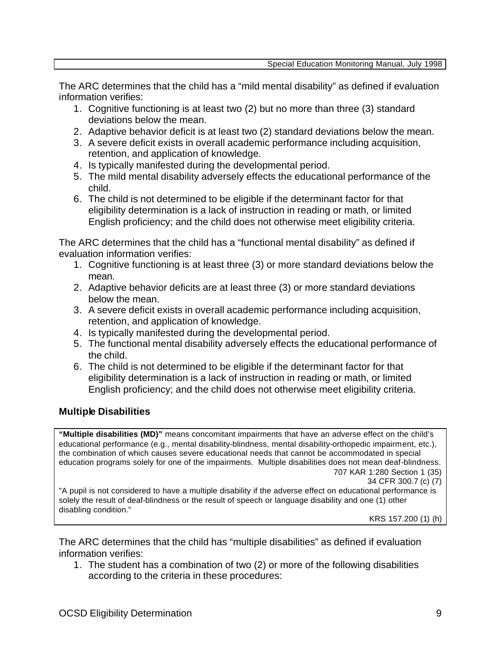The ARC determines that the child has a "mild mental disability" as defined if evaluation information verifies:

- 1. Cognitive functioning is at least two (2) but no more than three (3) standard deviations below the mean.
- 2. Adaptive behavior deficit is at least two (2) standard deviations below the mean.
- 3. A severe deficit exists in overall academic performance including acquisition, retention, and application of knowledge.
- 4. Is typically manifested during the developmental period.
- 5. The mild mental disability adversely effects the educational performance of the child.
- 6. The child is not determined to be eligible if the determinant factor for that eligibility determination is a lack of instruction in reading or math, or limited English proficiency; and the child does not otherwise meet eligibility criteria.

The ARC determines that the child has a "functional mental disability" as defined if evaluation information verifies:

- 1. Cognitive functioning is at least three (3) or more standard deviations below the mean.
- 2. Adaptive behavior deficits are at least three (3) or more standard deviations below the mean.
- 3. A severe deficit exists in overall academic performance including acquisition, retention, and application of knowledge.
- 4. Is typically manifested during the developmental period.
- 5. The functional mental disability adversely effects the educational performance of the child.
- 6. The child is not determined to be eligible if the determinant factor for that eligibility determination is a lack of instruction in reading or math, or limited English proficiency; and the child does not otherwise meet eligibility criteria.

## **Multiple Disabilities**

**"Multiple disabilities (MD)"** means concomitant impairments that have an adverse effect on the child's educational performance (e.g., mental disability-blindness, mental disability-orthopedic impairment, etc.), the combination of which causes severe educational needs that cannot be accommodated in special education programs solely for one of the impairments. Multiple disabilities does not mean deaf-blindness. 707 KAR 1:280 Section 1 (35)

34 CFR 300.7 (c) (7)

"A pupil is not considered to have a multiple disability if the adverse effect on educational performance is solely the result of deaf-blindness or the result of speech or language disability and one (1) other disabling condition."

KRS 157.200 (1) (h)

The ARC determines that the child has "multiple disabilities" as defined if evaluation information verifies:

1. The student has a combination of two (2) or more of the following disabilities according to the criteria in these procedures: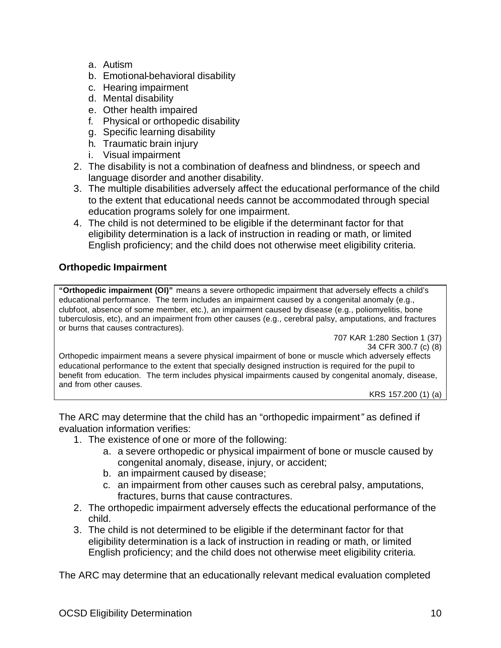- a. Autism
- b. Emotional-behavioral disability
- c. Hearing impairment
- d. Mental disability
- e. Other health impaired
- f. Physical or orthopedic disability
- g. Specific learning disability
- h. Traumatic brain injury
- i. Visual impairment
- 2. The disability is not a combination of deafness and blindness, or speech and language disorder and another disability.
- 3. The multiple disabilities adversely affect the educational performance of the child to the extent that educational needs cannot be accommodated through special education programs solely for one impairment.
- 4. The child is not determined to be eligible if the determinant factor for that eligibility determination is a lack of instruction in reading or math, or limited English proficiency; and the child does not otherwise meet eligibility criteria.

# **Orthopedic Impairment**

**"Orthopedic impairment (OI)"** means a severe orthopedic impairment that adversely effects a child's educational performance. The term includes an impairment caused by a congenital anomaly (e.g., clubfoot, absence of some member, etc.), an impairment caused by disease (e.g., poliomyelitis, bone tuberculosis, etc), and an impairment from other causes (e.g., cerebral palsy, amputations, and fractures or burns that causes contractures).

707 KAR 1:280 Section 1 (37) 34 CFR 300.7 (c) (8)

Orthopedic impairment means a severe physical impairment of bone or muscle which adversely effects educational performance to the extent that specially designed instruction is required for the pupil to benefit from education. The term includes physical impairments caused by congenital anomaly, disease, and from other causes.

KRS 157.200 (1) (a)

The ARC may determine that the child has an "orthopedic impairment*"* as defined if evaluation information verifies:

- 1. The existence of one or more of the following:
	- a. a severe orthopedic or physical impairment of bone or muscle caused by congenital anomaly, disease, injury, or accident;
	- b. an impairment caused by disease;
	- c. an impairment from other causes such as cerebral palsy, amputations, fractures, burns that cause contractures.
- 2. The orthopedic impairment adversely effects the educational performance of the child.
- 3. The child is not determined to be eligible if the determinant factor for that eligibility determination is a lack of instruction in reading or math, or limited English proficiency; and the child does not otherwise meet eligibility criteria.

The ARC may determine that an educationally relevant medical evaluation completed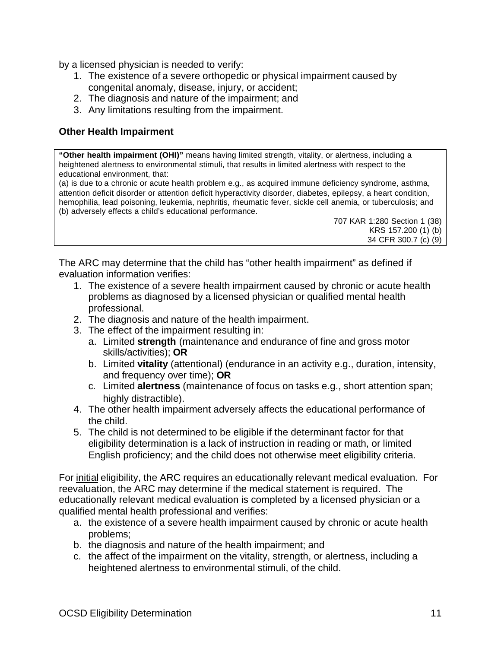by a licensed physician is needed to verify:

- 1. The existence of a severe orthopedic or physical impairment caused by congenital anomaly, disease, injury, or accident;
- 2. The diagnosis and nature of the impairment; and
- 3. Any limitations resulting from the impairment.

### **Other Health Impairment**

**"Other health impairment (OHI)"** means having limited strength, vitality, or alertness, including a heightened alertness to environmental stimuli, that results in limited alertness with respect to the educational environment, that:

(a) is due to a chronic or acute health problem e.g., as acquired immune deficiency syndrome, asthma, attention deficit disorder or attention deficit hyperactivity disorder, diabetes, epilepsy, a heart condition, hemophilia, lead poisoning, leukemia, nephritis, rheumatic fever, sickle cell anemia, or tuberculosis; and (b) adversely effects a child's educational performance.

707 KAR 1:280 Section 1 (38) KRS 157.200 (1) (b) 34 CFR 300.7 (c) (9)

The ARC may determine that the child has "other health impairment" as defined if evaluation information verifies:

- 1. The existence of a severe health impairment caused by chronic or acute health problems as diagnosed by a licensed physician or qualified mental health professional.
- 2. The diagnosis and nature of the health impairment.
- 3. The effect of the impairment resulting in:
	- a. Limited **strength** (maintenance and endurance of fine and gross motor skills/activities); **OR**
	- b. Limited **vitality** (attentional) (endurance in an activity e.g., duration, intensity, and frequency over time); **OR**
	- c. Limited **alertness** (maintenance of focus on tasks e.g., short attention span; highly distractible).
- 4. The other health impairment adversely affects the educational performance of the child.
- 5. The child is not determined to be eligible if the determinant factor for that eligibility determination is a lack of instruction in reading or math, or limited English proficiency; and the child does not otherwise meet eligibility criteria.

For initial eligibility, the ARC requires an educationally relevant medical evaluation. For reevaluation, the ARC may determine if the medical statement is required. The educationally relevant medical evaluation is completed by a licensed physician or a qualified mental health professional and verifies:

- a. the existence of a severe health impairment caused by chronic or acute health problems;
- b. the diagnosis and nature of the health impairment; and
- c. the affect of the impairment on the vitality, strength, or alertness, including a heightened alertness to environmental stimuli, of the child.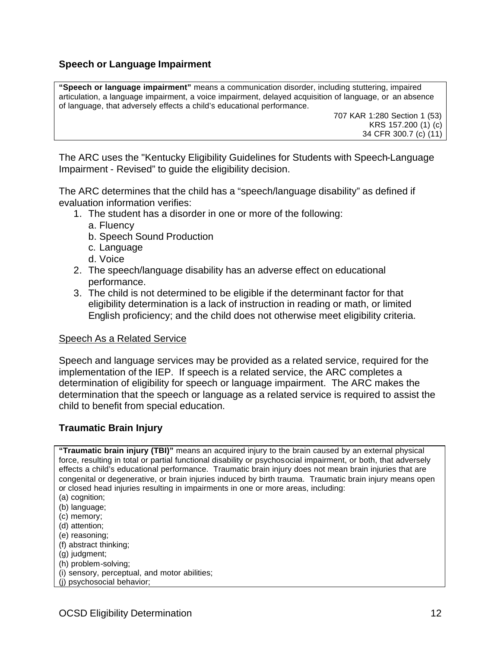### **Speech or Language Impairment**

**"Speech or language impairment"** means a communication disorder, including stuttering, impaired articulation, a language impairment, a voice impairment, delayed acquisition of language, or an absence of language, that adversely effects a child's educational performance.

707 KAR 1:280 Section 1 (53) KRS 157.200 (1) (c) 34 CFR 300.7 (c) (11)

The ARC uses the "Kentucky Eligibility Guidelines for Students with Speech-Language Impairment - Revised" to guide the eligibility decision.

The ARC determines that the child has a "speech/language disability" as defined if evaluation information verifies:

- 1. The student has a disorder in one or more of the following:
	- a. Fluency
	- b. Speech Sound Production
	- c. Language
	- d. Voice
- 2. The speech/language disability has an adverse effect on educational performance.
- 3. The child is not determined to be eligible if the determinant factor for that eligibility determination is a lack of instruction in reading or math, or limited English proficiency; and the child does not otherwise meet eligibility criteria.

#### Speech As a Related Service

Speech and language services may be provided as a related service, required for the implementation of the IEP. If speech is a related service, the ARC completes a determination of eligibility for speech or language impairment. The ARC makes the determination that the speech or language as a related service is required to assist the child to benefit from special education.

### **Traumatic Brain Injury**

**"Traumatic brain injury (TBI)"** means an acquired injury to the brain caused by an external physical force, resulting in total or partial functional disability or psychosocial impairment, or both, that adversely effects a child's educational performance. Traumatic brain injury does not mean brain injuries that are congenital or degenerative, or brain injuries induced by birth trauma. Traumatic brain injury means open or closed head injuries resulting in impairments in one or more areas, including: (a) cognition;

- (b) language;
- (c) memory;
- (d) attention;
- (e) reasoning;
- (f) abstract thinking;
- (g) judgment;
- (h) problem-solving;
- (i) sensory, perceptual, and motor abilities;
- (j) psychosocial behavior;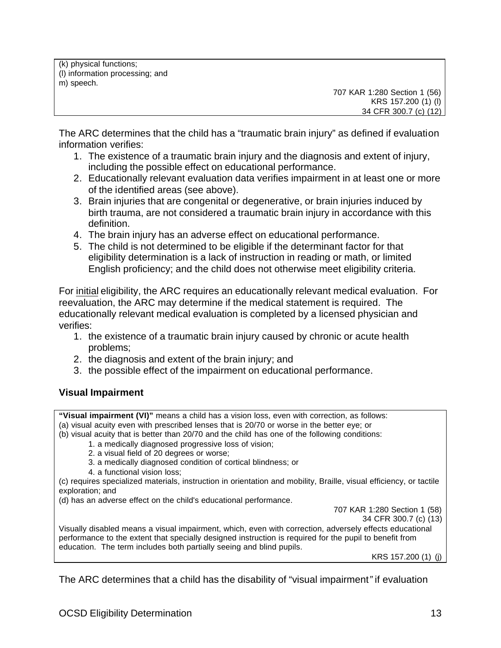(k) physical functions; (l) information processing; and m) speech.

707 KAR 1:280 Section 1 (56) KRS 157.200 (1) (l) 34 CFR 300.7 (c) (12)

The ARC determines that the child has a "traumatic brain injury" as defined if evaluation information verifies:

- 1. The existence of a traumatic brain injury and the diagnosis and extent of injury, including the possible effect on educational performance.
- 2. Educationally relevant evaluation data verifies impairment in at least one or more of the identified areas (see above).
- 3. Brain injuries that are congenital or degenerative, or brain injuries induced by birth trauma, are not considered a traumatic brain injury in accordance with this definition.
- 4. The brain injury has an adverse effect on educational performance.
- 5. The child is not determined to be eligible if the determinant factor for that eligibility determination is a lack of instruction in reading or math, or limited English proficiency; and the child does not otherwise meet eligibility criteria.

For initial eligibility, the ARC requires an educationally relevant medical evaluation. For reevaluation, the ARC may determine if the medical statement is required. The educationally relevant medical evaluation is completed by a licensed physician and verifies:

- 1. the existence of a traumatic brain injury caused by chronic or acute health problems;
- 2. the diagnosis and extent of the brain injury; and
- 3. the possible effect of the impairment on educational performance.

## **Visual Impairment**

**"Visual impairment (VI)"** means a child has a vision loss, even with correction, as follows: (a) visual acuity even with prescribed lenses that is 20/70 or worse in the better eye; or (b) visual acuity that is better than 20/70 and the child has one of the following conditions:

- 1. a medically diagnosed progressive loss of vision;
- 2. a visual field of 20 degrees or worse;
- 3. a medically diagnosed condition of cortical blindness; or
- 4. a functional vision loss;

(c) requires specialized materials, instruction in orientation and mobility, Braille, visual efficiency, or tactile exploration; and

(d) has an adverse effect on the child's educational performance.

707 KAR 1:280 Section 1 (58)

34 CFR 300.7 (c) (13)

Visually disabled means a visual impairment, which, even with correction, adversely effects educational performance to the extent that specially designed instruction is required for the pupil to benefit from education. The term includes both partially seeing and blind pupils.

KRS 157.200 (1) (j)

The ARC determines that a child has the disability of "visual impairment*"* if evaluation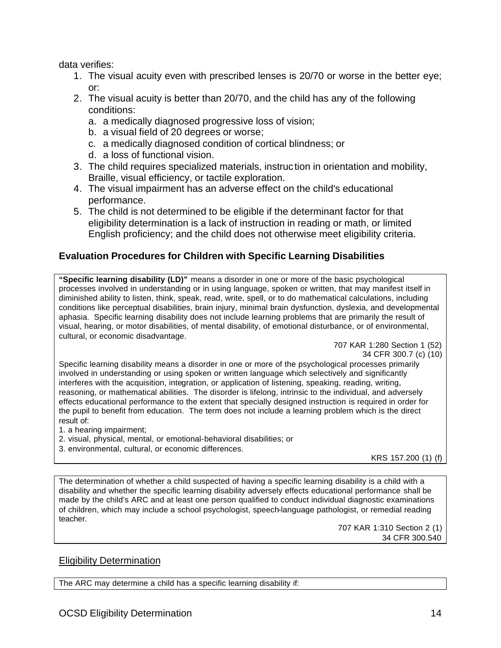data verifies:

- 1. The visual acuity even with prescribed lenses is 20/70 or worse in the better eye; or:
- 2. The visual acuity is better than 20/70, and the child has any of the following conditions:
	- a. a medically diagnosed progressive loss of vision;
	- b. a visual field of 20 degrees or worse;
	- c. a medically diagnosed condition of cortical blindness; or
	- d. a loss of functional vision.
- 3. The child requires specialized materials, instruction in orientation and mobility, Braille, visual efficiency, or tactile exploration.
- 4. The visual impairment has an adverse effect on the child's educational performance.
- 5. The child is not determined to be eligible if the determinant factor for that eligibility determination is a lack of instruction in reading or math, or limited English proficiency; and the child does not otherwise meet eligibility criteria.

# **Evaluation Procedures for Children with Specific Learning Disabilities**

**"Specific learning disability (LD)"** means a disorder in one or more of the basic psychological processes involved in understanding or in using language, spoken or written, that may manifest itself in diminished ability to listen, think, speak, read, write, spell, or to do mathematical calculations, including conditions like perceptual disabilities, brain injury, minimal brain dysfunction, dyslexia, and developmental aphasia. Specific learning disability does not include learning problems that are primarily the result of visual, hearing, or motor disabilities, of mental disability, of emotional disturbance, or of environmental, cultural, or economic disadvantage.

Specific learning disability means a disorder in one or more of the psychological processes primarily involved in understanding or using spoken or written language which selectively and significantly interferes with the acquisition, integration, or application of listening, speaking, reading, writing, reasoning, or mathematical abilities. The disorder is lifelong, intrinsic to the individual, and adversely effects educational performance to the extent that specially designed instruction is required in order for the pupil to benefit from education. The term does not include a learning problem which is the direct result of:

- 1. a hearing impairment;
- 2. visual, physical, mental, or emotional-behavioral disabilities; or
- 3. environmental, cultural, or economic differences.

KRS 157.200 (1) (f)

The determination of whether a child suspected of having a specific learning disability is a child with a disability and whether the specific learning disability adversely effects educational performance shall be made by the child's ARC and at least one person qualified to conduct individual diagnostic examinations of children, which may include a school psychologist, speech-language pathologist, or remedial reading teacher.

> 707 KAR 1:310 Section 2 (1) 34 CFR 300.540

### Eligibility Determination

The ARC may determine a child has a specific learning disability if:

<sup>707</sup> KAR 1:280 Section 1 (52) 34 CFR 300.7 (c) (10)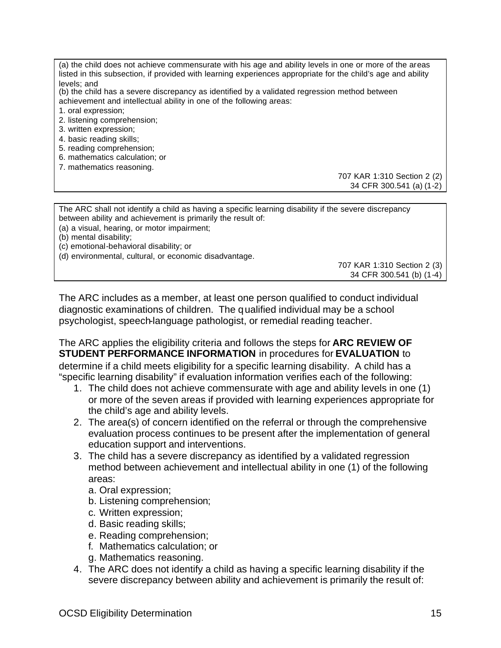(a) the child does not achieve commensurate with his age and ability levels in one or more of the areas listed in this subsection, if provided with learning experiences appropriate for the child's age and ability levels; and (b) the child has a severe discrepancy as identified by a validated regression method between achievement and intellectual ability in one of the following areas: 1. oral expression; 2. listening comprehension; 3. written expression; 4. basic reading skills; 5. reading comprehension; 6. mathematics calculation; or 7. mathematics reasoning. 707 KAR 1:310 Section 2 (2) 34 CFR 300.541 (a) (1-2) The ARC shall not identify a child as having a specific learning disability if the severe discrepancy between ability and achievement is primarily the result of: (a) a visual, hearing, or motor impairment; (b) mental disability; (c) emotional-behavioral disability; or (d) environmental, cultural, or economic disadvantage. 707 KAR 1:310 Section 2 (3)

The ARC includes as a member, at least one person qualified to conduct individual diagnostic examinations of children. The qualified individual may be a school psychologist, speech-language pathologist, or remedial reading teacher.

The ARC applies the eligibility criteria and follows the steps for **ARC REVIEW OF STUDENT PERFORMANCE INFORMATION** in procedures for **EVALUATION** to determine if a child meets eligibility for a specific learning disability. A child has a "specific learning disability" if evaluation information verifies each of the following:

- 1. The child does not achieve commensurate with age and ability levels in one (1) or more of the seven areas if provided with learning experiences appropriate for the child's age and ability levels.
- 2. The area(s) of concern identified on the referral or through the comprehensive evaluation process continues to be present after the implementation of general education support and interventions.
- 3. The child has a severe discrepancy as identified by a validated regression method between achievement and intellectual ability in one (1) of the following areas:
	- a. Oral expression;
	- b. Listening comprehension;
	- c. Written expression;
	- d. Basic reading skills;
	- e. Reading comprehension;
	- f. Mathematics calculation; or
	- g. Mathematics reasoning.
- 4. The ARC does not identify a child as having a specific learning disability if the severe discrepancy between ability and achievement is primarily the result of:

34 CFR 300.541 (b) (1-4)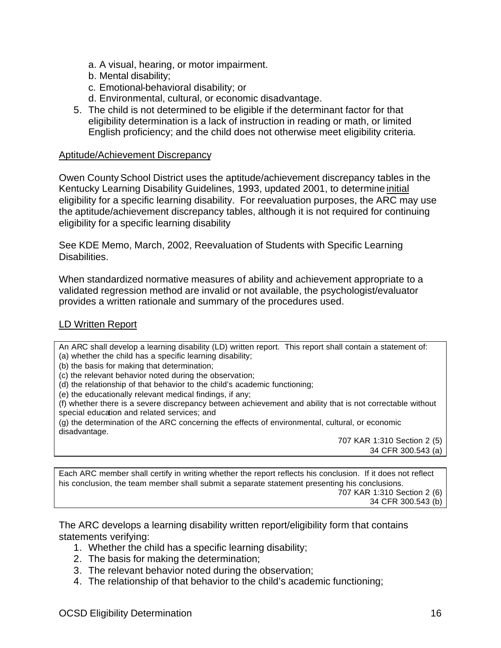- a. A visual, hearing, or motor impairment.
- b. Mental disability;
- c. Emotional-behavioral disability; or
- d. Environmental, cultural, or economic disadvantage.
- 5. The child is not determined to be eligible if the determinant factor for that eligibility determination is a lack of instruction in reading or math, or limited English proficiency; and the child does not otherwise meet eligibility criteria.

#### Aptitude/Achievement Discrepancy

Owen County School District uses the aptitude/achievement discrepancy tables in the Kentucky Learning Disability Guidelines, 1993, updated 2001, to determine initial eligibility for a specific learning disability. For reevaluation purposes, the ARC may use the aptitude/achievement discrepancy tables, although it is not required for continuing eligibility for a specific learning disability

See KDE Memo, March, 2002, Reevaluation of Students with Specific Learning Disabilities.

When standardized normative measures of ability and achievement appropriate to a validated regression method are invalid or not available, the psychologist/evaluator provides a written rationale and summary of the procedures used.

### LD Written Report

An ARC shall develop a learning disability (LD) written report. This report shall contain a statement of: (a) whether the child has a specific learning disability;

(b) the basis for making that determination;

- (c) the relevant behavior noted during the observation;
- (d) the relationship of that behavior to the child's academic functioning;
- (e) the educationally relevant medical findings, if any;

(f) whether there is a severe discrepancy between achievement and ability that is not correctable without special education and related services; and

(g) the determination of the ARC concerning the effects of environmental, cultural, or economic disadvantage.

707 KAR 1:310 Section 2 (5) 34 CFR 300.543 (a)

Each ARC member shall certify in writing whether the report reflects his conclusion. If it does not reflect his conclusion, the team member shall submit a separate statement presenting his conclusions. 707 KAR 1:310 Section 2 (6) 34 CFR 300.543 (b)

The ARC develops a learning disability written report/eligibility form that contains statements verifying:

- 1. Whether the child has a specific learning disability;
- 2. The basis for making the determination;
- 3. The relevant behavior noted during the observation;
- 4. The relationship of that behavior to the child's academic functioning;